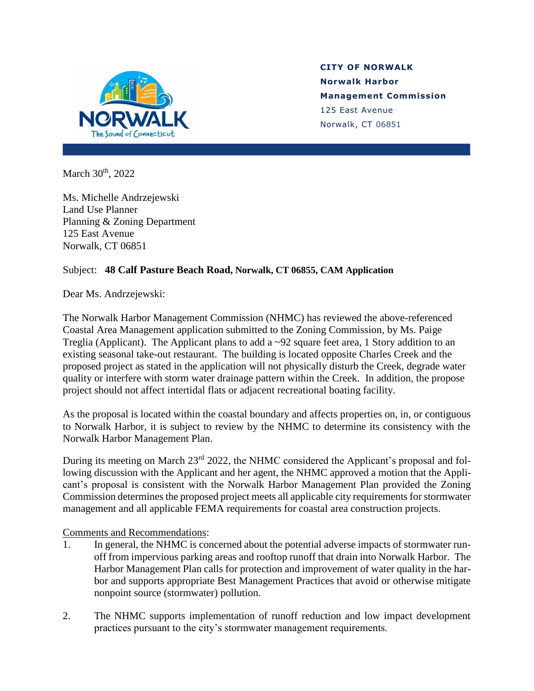

## **CITY OF NORWALK Norwalk Harbor Management Commission** 125 East Avenue Norwalk, CT 06851

March 30<sup>th</sup>, 2022

Ms. Michelle Andrzejewski Land Use Planner Planning & Zoning Department 125 East Avenue Norwalk, CT 06851

## Subject: **48 Calf Pasture Beach Road, Norwalk, CT 06855, CAM Application**

Dear Ms. Andrzejewski:

The Norwalk Harbor Management Commission (NHMC) has reviewed the above-referenced Coastal Area Management application submitted to the Zoning Commission, by Ms. Paige Treglia (Applicant). The Applicant plans to add a  $\sim$ 92 square feet area, 1 Story addition to an existing seasonal take-out restaurant. The building is located opposite Charles Creek and the proposed project as stated in the application will not physically disturb the Creek, degrade water quality or interfere with storm water drainage pattern within the Creek. In addition, the propose project should not affect intertidal flats or adjacent recreational boating facility.

As the proposal is located within the coastal boundary and affects properties on, in, or contiguous to Norwalk Harbor, it is subject to review by the NHMC to determine its consistency with the Norwalk Harbor Management Plan.

During its meeting on March 23<sup>rd</sup> 2022, the NHMC considered the Applicant's proposal and following discussion with the Applicant and her agent, the NHMC approved a motion that the Applicant's proposal is consistent with the Norwalk Harbor Management Plan provided the Zoning Commission determines the proposed project meets all applicable city requirements for stormwater management and all applicable FEMA requirements for coastal area construction projects.

Comments and Recommendations:

- 1. In general, the NHMC is concerned about the potential adverse impacts of stormwater runoff from impervious parking areas and rooftop runoff that drain into Norwalk Harbor. The Harbor Management Plan calls for protection and improvement of water quality in the harbor and supports appropriate Best Management Practices that avoid or otherwise mitigate nonpoint source (stormwater) pollution.
- 2. The NHMC supports implementation of runoff reduction and low impact development practices pursuant to the city's stormwater management requirements.